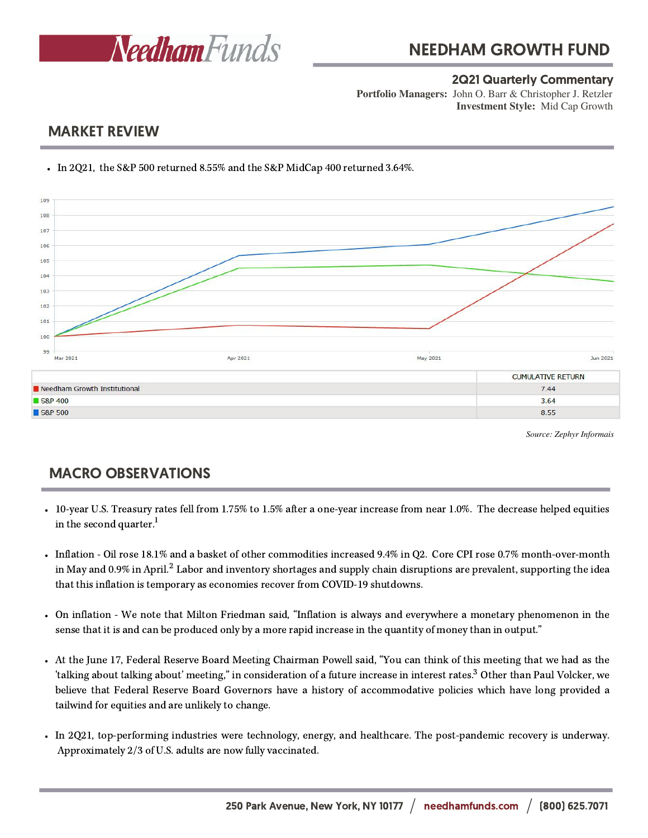

### 2Q21 Quarterly Commentary

**Investment Style:** Mid Cap Growth **Portfolio Managers:** John O. Barr & Christopher J. Retzler

## MARKET REVIEW



In 2Q21, the S&P 500 returned 8.55% and the S&P MidCap 400 returned 3.64%.

*Source: Zephyr Informais*

# MACRO OBSERVATIONS

- 10-year U.S. Treasury rates fell from 1.75% to 1.5% after a one-year increase from near 1.0%. The decrease helped equities in the second quarter.<sup>1</sup>
- Inflation Oil rose 18.1% and a basket of other commodities increased 9.4% in Q2. Core CPI rose 0.7% month-over-month in May and 0.9% in April. $^2$  Labor and inventory shortages and supply chain disruptions are prevalent, supporting the idea that this inflation is temporary as economies recover from COVID-19 shutdowns.
- On inflation We note that Milton Friedman said, "Inflation is always and everywhere a monetary phenomenon in the sense that it is and can be produced only by a more rapid increase in the quantity of money than in output."
- At the June 17, Federal Reserve Board Meeting Chairman Powell said, "You can think of this meeting that we had as the 'talking about talking about' meeting," in consideration of a future increase in interest rates.<sup>3</sup> Other than Paul Volcker, we believe that Federal Reserve Board Governors have a history of accommodative policies which have long provided a tailwind for equities and are unlikely to change.
- In 2Q21, top-performing industries were technology, energy, and healthcare. The post-pandemic recovery is underway. Approximately 2/3 of U.S. adults are now fully vaccinated.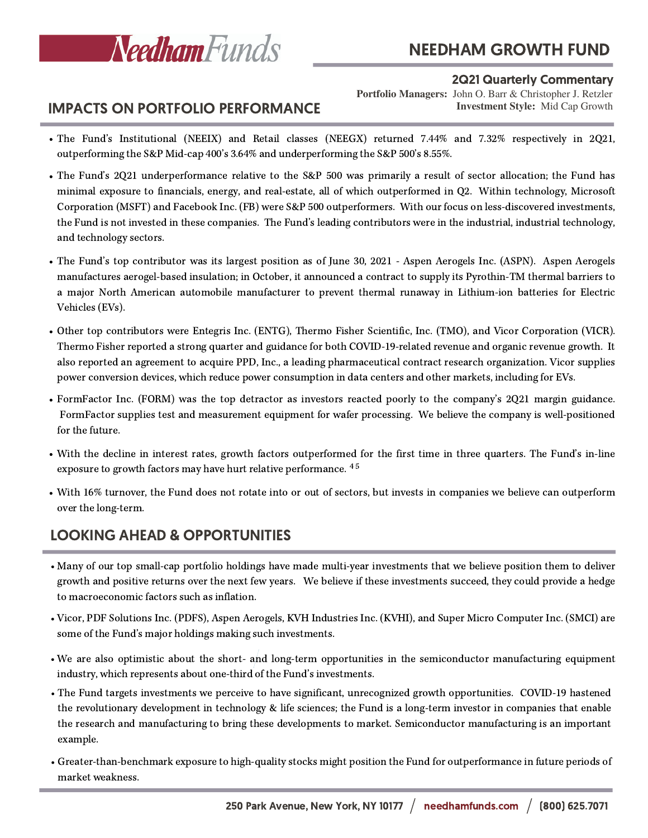

# NEEDHAM GROWTH FUND

#### 2Q21 Quarterly Commentary

**Investment Style:** Mid Cap Growth **Portfolio Managers:** John O. Barr & Christopher J. Retzler

### IMPACTS ON PORTFOLIO PERFORMANCE

- The Fund's Institutional (NEEIX) and Retail classes (NEEGX) returned 7.44% and 7.32% respectively in 2Q21, outperforming the S&P Mid-cap 400's 3.64% and underperforming the S&P 500's 8.55%.
- The Fund's 2Q21 underperformance relative to the S&P 500 was primarily a result of sector allocation; the Fund has minimal exposure to financials, energy, and real-estate, all of which outperformed in Q2. Within technology, Microsoft Corporation (MSFT) and Facebook Inc. (FB) were S&P 500 outperformers. With our focus on less-discovered investments, the Fund is not invested in these companies. The Fund's leading contributors were in the industrial, industrial technology, and technology sectors.
- The Fund's top contributor was its largest position as of June 30, 2021 Aspen Aerogels Inc. (ASPN). Aspen Aerogels manufactures aerogel-based insulation; in October, it announced a contract to supply its Pyrothin-TM thermal barriers to a major North American automobile manufacturer to prevent thermal runaway in Lithium-ion batteries for Electric Vehicles (EVs).
- Other top contributors were Entegris Inc. (ENTG), Thermo Fisher Scientific, Inc. (TMO), and Vicor Corporation (VICR). Thermo Fisher reported a strong quarter and guidance for both COVID-19-related revenue and organic revenue growth. It also reported an agreement to acquire PPD, Inc., a leading pharmaceutical contract research organization. Vicor supplies power conversion devices, which reduce power consumption in data centers and other markets, including for EVs.
- FormFactor Inc. (FORM) was the top detractor as investors reacted poorly to the company's 2Q21 margin guidance. FormFactor supplies test and measurement equipment for wafer processing. We believe the company is well-positioned for the future.
- With the decline in interest rates, growth factors outperformed for the first time in three quarters. The Fund's in-line exposure to growth factors may have hurt relative performance.  $^{4.5}$
- With 16% turnover, the Fund does not rotate into or out of sectors, but invests in companies we believe can outperform over the long-term.

# LOOKING AHEAD & OPPORTUNITIES

- Many of our top small-cap portfolio holdings have made multi-year investments that we believe position them to deliver growth and positive returns over the next few years. We believe if these investments succeed, they could provide a hedge to macroeconomic factors such as inflation.
- Vicor, PDF Solutions Inc. (PDFS), Aspen Aerogels, KVH Industries Inc. (KVHI), and Super Micro Computer Inc. (SMCI) are some of the Fund's major holdings making such investments.
- We are also optimistic about the short- and long-term opportunities in the semiconductor manufacturing equipment industry, which represents about one-third of the Fund's investments.
- The Fund targets investments we perceive to have significant, unrecognized growth opportunities. COVID-19 hastened the revolutionary development in technology & life sciences; the Fund is a long-term investor in companies that enable the research and manufacturing to bring these developments to market. Semiconductor manufacturing is an important example.
- Greater-than-benchmark exposure to high-quality stocks might position the Fund for outperformance in future periods of market weakness.